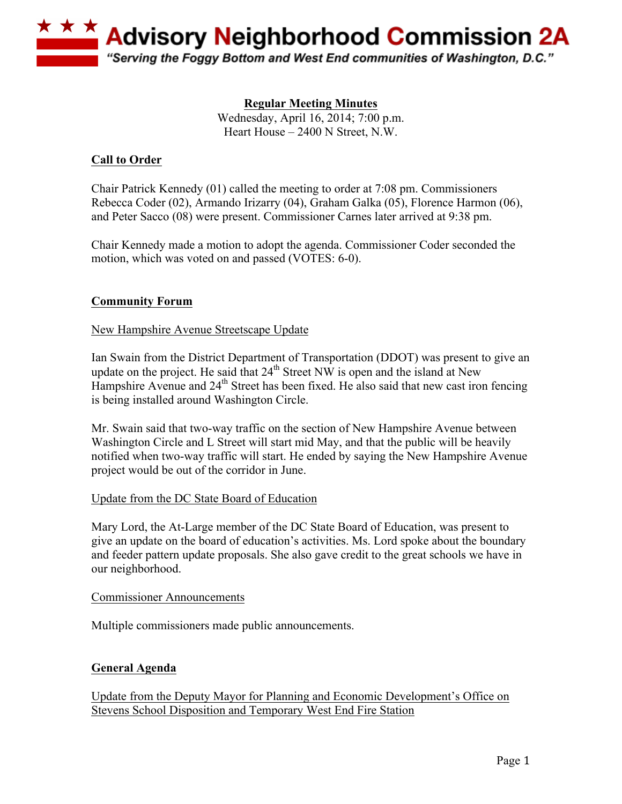

**Regular Meeting Minutes**  Wednesday, April 16, 2014; 7:00 p.m. Heart House – 2400 N Street, N.W.

# **Call to Order**

Chair Patrick Kennedy (01) called the meeting to order at 7:08 pm. Commissioners Rebecca Coder (02), Armando Irizarry (04), Graham Galka (05), Florence Harmon (06), and Peter Sacco (08) were present. Commissioner Carnes later arrived at 9:38 pm.

Chair Kennedy made a motion to adopt the agenda. Commissioner Coder seconded the motion, which was voted on and passed (VOTES: 6-0).

# **Community Forum**

### New Hampshire Avenue Streetscape Update

Ian Swain from the District Department of Transportation (DDOT) was present to give an update on the project. He said that  $24<sup>th</sup>$  Street NW is open and the island at New Hampshire Avenue and 24<sup>th</sup> Street has been fixed. He also said that new cast iron fencing is being installed around Washington Circle.

Mr. Swain said that two-way traffic on the section of New Hampshire Avenue between Washington Circle and L Street will start mid May, and that the public will be heavily notified when two-way traffic will start. He ended by saying the New Hampshire Avenue project would be out of the corridor in June.

#### Update from the DC State Board of Education

Mary Lord, the At-Large member of the DC State Board of Education, was present to give an update on the board of education's activities. Ms. Lord spoke about the boundary and feeder pattern update proposals. She also gave credit to the great schools we have in our neighborhood.

#### Commissioner Announcements

Multiple commissioners made public announcements.

#### **General Agenda**

Update from the Deputy Mayor for Planning and Economic Development's Office on Stevens School Disposition and Temporary West End Fire Station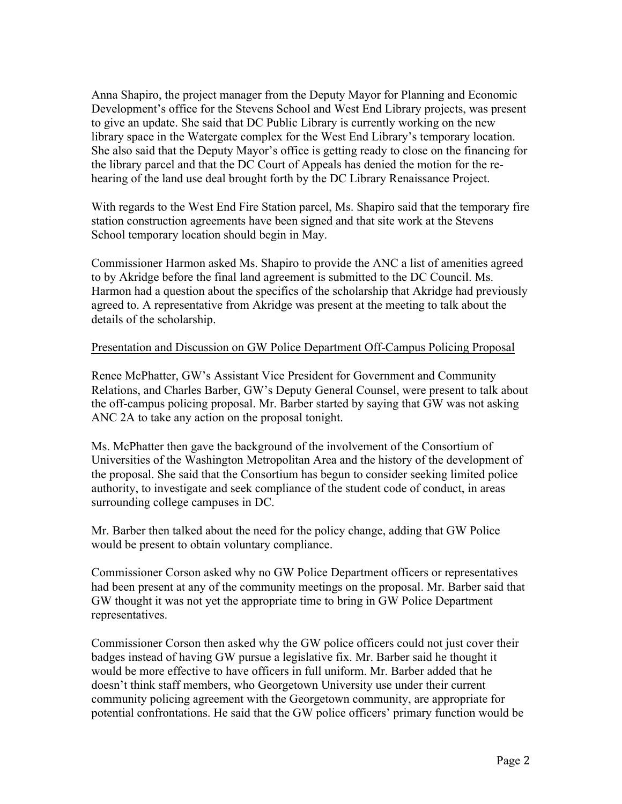Anna Shapiro, the project manager from the Deputy Mayor for Planning and Economic Development's office for the Stevens School and West End Library projects, was present to give an update. She said that DC Public Library is currently working on the new library space in the Watergate complex for the West End Library's temporary location. She also said that the Deputy Mayor's office is getting ready to close on the financing for the library parcel and that the DC Court of Appeals has denied the motion for the rehearing of the land use deal brought forth by the DC Library Renaissance Project.

With regards to the West End Fire Station parcel, Ms. Shapiro said that the temporary fire station construction agreements have been signed and that site work at the Stevens School temporary location should begin in May.

Commissioner Harmon asked Ms. Shapiro to provide the ANC a list of amenities agreed to by Akridge before the final land agreement is submitted to the DC Council. Ms. Harmon had a question about the specifics of the scholarship that Akridge had previously agreed to. A representative from Akridge was present at the meeting to talk about the details of the scholarship.

#### Presentation and Discussion on GW Police Department Off-Campus Policing Proposal

Renee McPhatter, GW's Assistant Vice President for Government and Community Relations, and Charles Barber, GW's Deputy General Counsel, were present to talk about the off-campus policing proposal. Mr. Barber started by saying that GW was not asking ANC 2A to take any action on the proposal tonight.

Ms. McPhatter then gave the background of the involvement of the Consortium of Universities of the Washington Metropolitan Area and the history of the development of the proposal. She said that the Consortium has begun to consider seeking limited police authority, to investigate and seek compliance of the student code of conduct, in areas surrounding college campuses in DC.

Mr. Barber then talked about the need for the policy change, adding that GW Police would be present to obtain voluntary compliance.

Commissioner Corson asked why no GW Police Department officers or representatives had been present at any of the community meetings on the proposal. Mr. Barber said that GW thought it was not yet the appropriate time to bring in GW Police Department representatives.

Commissioner Corson then asked why the GW police officers could not just cover their badges instead of having GW pursue a legislative fix. Mr. Barber said he thought it would be more effective to have officers in full uniform. Mr. Barber added that he doesn't think staff members, who Georgetown University use under their current community policing agreement with the Georgetown community, are appropriate for potential confrontations. He said that the GW police officers' primary function would be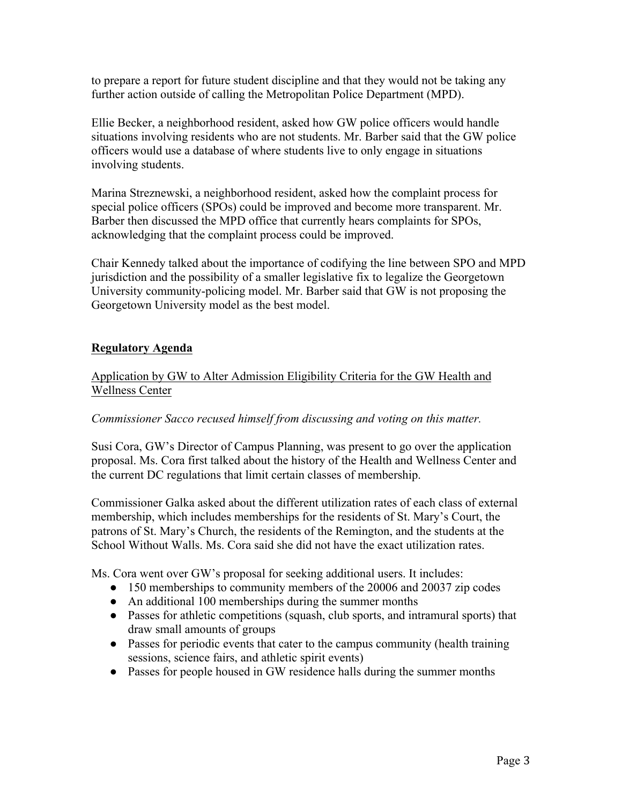to prepare a report for future student discipline and that they would not be taking any further action outside of calling the Metropolitan Police Department (MPD).

Ellie Becker, a neighborhood resident, asked how GW police officers would handle situations involving residents who are not students. Mr. Barber said that the GW police officers would use a database of where students live to only engage in situations involving students.

Marina Streznewski, a neighborhood resident, asked how the complaint process for special police officers (SPOs) could be improved and become more transparent. Mr. Barber then discussed the MPD office that currently hears complaints for SPOs, acknowledging that the complaint process could be improved.

Chair Kennedy talked about the importance of codifying the line between SPO and MPD jurisdiction and the possibility of a smaller legislative fix to legalize the Georgetown University community-policing model. Mr. Barber said that GW is not proposing the Georgetown University model as the best model.

### **Regulatory Agenda**

# Application by GW to Alter Admission Eligibility Criteria for the GW Health and Wellness Center

#### *Commissioner Sacco recused himself from discussing and voting on this matter.*

Susi Cora, GW's Director of Campus Planning, was present to go over the application proposal. Ms. Cora first talked about the history of the Health and Wellness Center and the current DC regulations that limit certain classes of membership.

Commissioner Galka asked about the different utilization rates of each class of external membership, which includes memberships for the residents of St. Mary's Court, the patrons of St. Mary's Church, the residents of the Remington, and the students at the School Without Walls. Ms. Cora said she did not have the exact utilization rates.

Ms. Cora went over GW's proposal for seeking additional users. It includes:

- 150 memberships to community members of the 20006 and 20037 zip codes
- An additional 100 memberships during the summer months
- Passes for athletic competitions (squash, club sports, and intramural sports) that draw small amounts of groups
- Passes for periodic events that cater to the campus community (health training sessions, science fairs, and athletic spirit events)
- Passes for people housed in GW residence halls during the summer months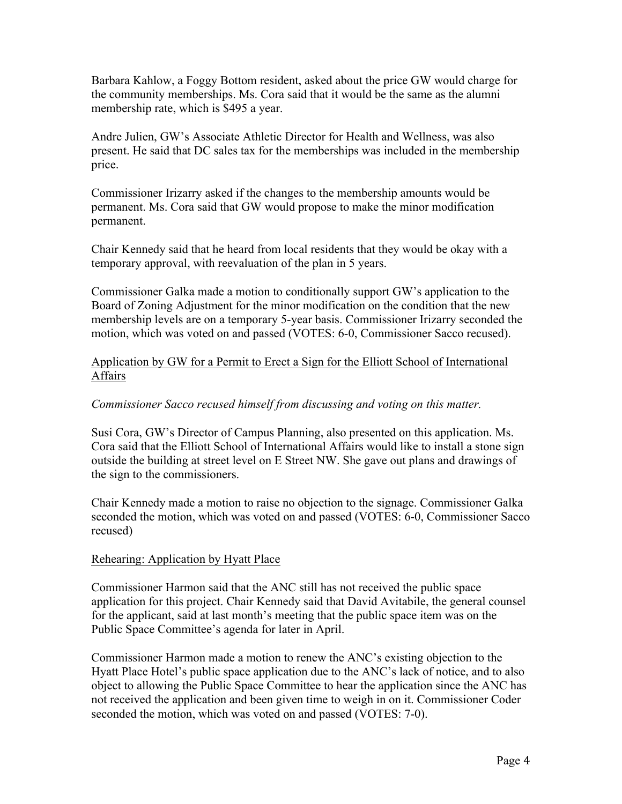Barbara Kahlow, a Foggy Bottom resident, asked about the price GW would charge for the community memberships. Ms. Cora said that it would be the same as the alumni membership rate, which is \$495 a year.

Andre Julien, GW's Associate Athletic Director for Health and Wellness, was also present. He said that DC sales tax for the memberships was included in the membership price.

Commissioner Irizarry asked if the changes to the membership amounts would be permanent. Ms. Cora said that GW would propose to make the minor modification permanent.

Chair Kennedy said that he heard from local residents that they would be okay with a temporary approval, with reevaluation of the plan in 5 years.

Commissioner Galka made a motion to conditionally support GW's application to the Board of Zoning Adjustment for the minor modification on the condition that the new membership levels are on a temporary 5-year basis. Commissioner Irizarry seconded the motion, which was voted on and passed (VOTES: 6-0, Commissioner Sacco recused).

### Application by GW for a Permit to Erect a Sign for the Elliott School of International Affairs

# *Commissioner Sacco recused himself from discussing and voting on this matter.*

Susi Cora, GW's Director of Campus Planning, also presented on this application. Ms. Cora said that the Elliott School of International Affairs would like to install a stone sign outside the building at street level on E Street NW. She gave out plans and drawings of the sign to the commissioners.

Chair Kennedy made a motion to raise no objection to the signage. Commissioner Galka seconded the motion, which was voted on and passed (VOTES: 6-0, Commissioner Sacco recused)

#### Rehearing: Application by Hyatt Place

Commissioner Harmon said that the ANC still has not received the public space application for this project. Chair Kennedy said that David Avitabile, the general counsel for the applicant, said at last month's meeting that the public space item was on the Public Space Committee's agenda for later in April.

Commissioner Harmon made a motion to renew the ANC's existing objection to the Hyatt Place Hotel's public space application due to the ANC's lack of notice, and to also object to allowing the Public Space Committee to hear the application since the ANC has not received the application and been given time to weigh in on it. Commissioner Coder seconded the motion, which was voted on and passed (VOTES: 7-0).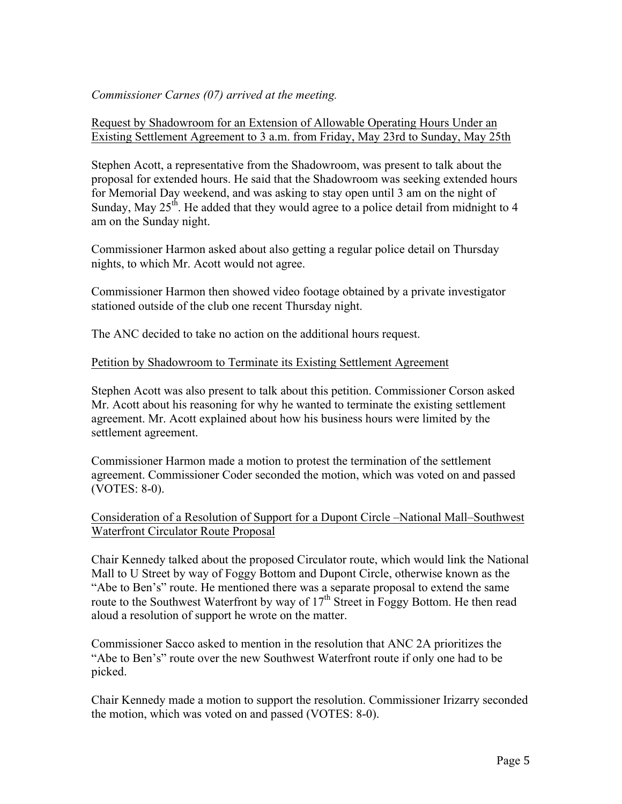### *Commissioner Carnes (07) arrived at the meeting.*

### Request by Shadowroom for an Extension of Allowable Operating Hours Under an Existing Settlement Agreement to 3 a.m. from Friday, May 23rd to Sunday, May 25th

Stephen Acott, a representative from the Shadowroom, was present to talk about the proposal for extended hours. He said that the Shadowroom was seeking extended hours for Memorial Day weekend, and was asking to stay open until 3 am on the night of Sunday, May  $25<sup>th</sup>$ . He added that they would agree to a police detail from midnight to 4 am on the Sunday night.

Commissioner Harmon asked about also getting a regular police detail on Thursday nights, to which Mr. Acott would not agree.

Commissioner Harmon then showed video footage obtained by a private investigator stationed outside of the club one recent Thursday night.

The ANC decided to take no action on the additional hours request.

#### Petition by Shadowroom to Terminate its Existing Settlement Agreement

Stephen Acott was also present to talk about this petition. Commissioner Corson asked Mr. Acott about his reasoning for why he wanted to terminate the existing settlement agreement. Mr. Acott explained about how his business hours were limited by the settlement agreement.

Commissioner Harmon made a motion to protest the termination of the settlement agreement. Commissioner Coder seconded the motion, which was voted on and passed (VOTES: 8-0).

### Consideration of a Resolution of Support for a Dupont Circle –National Mall–Southwest Waterfront Circulator Route Proposal

Chair Kennedy talked about the proposed Circulator route, which would link the National Mall to U Street by way of Foggy Bottom and Dupont Circle, otherwise known as the "Abe to Ben's" route. He mentioned there was a separate proposal to extend the same route to the Southwest Waterfront by way of  $17<sup>th</sup>$  Street in Foggy Bottom. He then read aloud a resolution of support he wrote on the matter.

Commissioner Sacco asked to mention in the resolution that ANC 2A prioritizes the "Abe to Ben's" route over the new Southwest Waterfront route if only one had to be picked.

Chair Kennedy made a motion to support the resolution. Commissioner Irizarry seconded the motion, which was voted on and passed (VOTES: 8-0).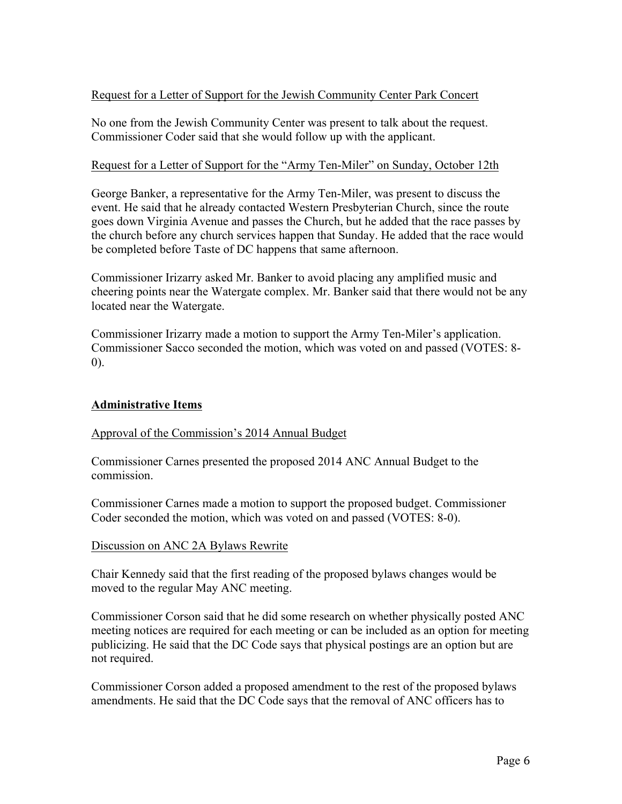# Request for a Letter of Support for the Jewish Community Center Park Concert

No one from the Jewish Community Center was present to talk about the request. Commissioner Coder said that she would follow up with the applicant.

### Request for a Letter of Support for the "Army Ten-Miler" on Sunday, October 12th

George Banker, a representative for the Army Ten-Miler, was present to discuss the event. He said that he already contacted Western Presbyterian Church, since the route goes down Virginia Avenue and passes the Church, but he added that the race passes by the church before any church services happen that Sunday. He added that the race would be completed before Taste of DC happens that same afternoon.

Commissioner Irizarry asked Mr. Banker to avoid placing any amplified music and cheering points near the Watergate complex. Mr. Banker said that there would not be any located near the Watergate.

Commissioner Irizarry made a motion to support the Army Ten-Miler's application. Commissioner Sacco seconded the motion, which was voted on and passed (VOTES: 8- 0).

# **Administrative Items**

#### Approval of the Commission's 2014 Annual Budget

Commissioner Carnes presented the proposed 2014 ANC Annual Budget to the commission.

Commissioner Carnes made a motion to support the proposed budget. Commissioner Coder seconded the motion, which was voted on and passed (VOTES: 8-0).

#### Discussion on ANC 2A Bylaws Rewrite

Chair Kennedy said that the first reading of the proposed bylaws changes would be moved to the regular May ANC meeting.

Commissioner Corson said that he did some research on whether physically posted ANC meeting notices are required for each meeting or can be included as an option for meeting publicizing. He said that the DC Code says that physical postings are an option but are not required.

Commissioner Corson added a proposed amendment to the rest of the proposed bylaws amendments. He said that the DC Code says that the removal of ANC officers has to